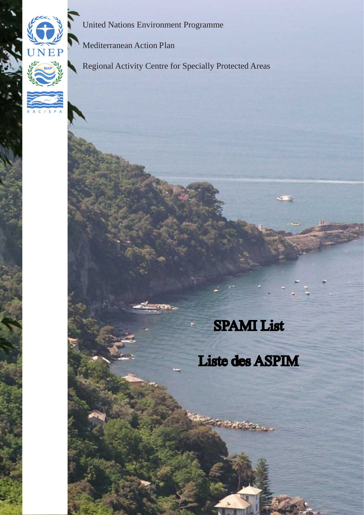

United Nations Environment Programme

Mediterranean Action Plan

Regional Activity Centre for Specially Protected Areas

#### SPAMI List

### Liste des ASPIM

t vie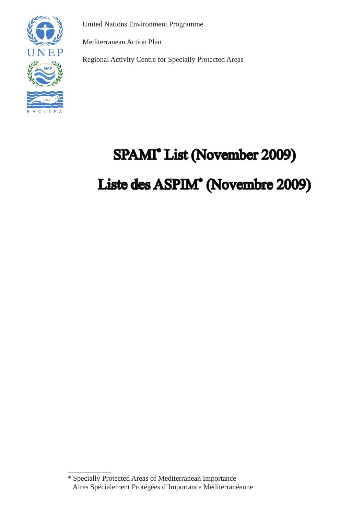

United Nations Environment Programme

Mediterranean Action Plan

Regional Activity Centre for Specially Protected Areas

### SPAMI\* List (November 2009)

#### Liste des ASPIM\* (Novembre 2009)

<sup>\*</sup> Specially Protected Areas of Mediterranean Importance Aires Spécialement Protégées d'Importance Méditerranéenne